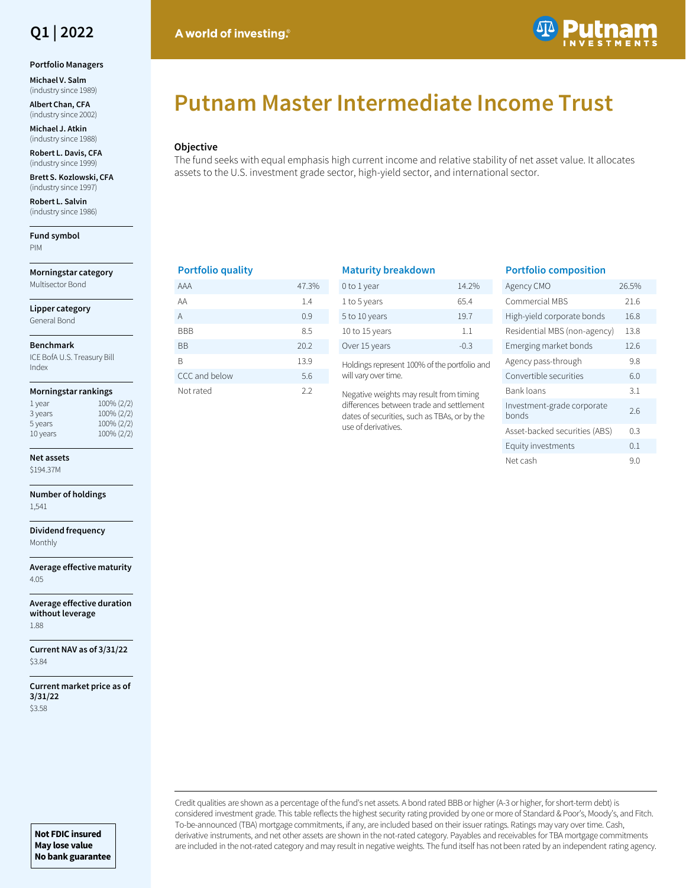

#### **Portfolio Managers**

**Michael V. Salm**  (industry since 1989)

**Albert Chan, CFA**  (industry since 2002)

**Michael J. Atkin**  (industry since 1988)

**Robert L. Davis, CFA**  (industry since 1999)

**Brett S. Kozlowski, CFA**  (industry since 1997)

**Robert L. Salvin**  (industry since 1986)

**Fund symbol** PIM

**Morningstar category** Multisector Bond

**Lipper category**

General Bond

#### **Benchmark**

ICE BofA U.S. Treasury Bill Index

#### **Morningstar rankings**

| 1 year   | 100% (2/2) |
|----------|------------|
| 3 years  | 100% (2/2) |
| 5 years  | 100% (2/2) |
| 10 years | 100% (2/2) |

# **Net assets**

\$194.37M

**Number of holdings** 1,541

**Dividend frequency** Monthly

**Average effective maturity** 4.05

**Average effective duration without leverage** 1.88

**Current NAV as of 3/31/22** \$3.84

**Current market price as of 3/31/22** \$3.58

# **Putnam Master Intermediate Income Trust**

### **Objective**

The fund seeks with equal emphasis high current income and relative stability of net asset value. It allocates assets to the U.S. investment grade sector, high-yield sector, and international sector.

## **Portfolio quality**

A world of investing.

| AAA           | 47.3% |
|---------------|-------|
| ΑA            | 1.4   |
| A             | 0.9   |
| BBB           | 8.5   |
| ВB            | 20.2  |
| R             | 13.9  |
| CCC and below | 5.6   |
| Not rated     | 2.2   |

# **Maturity breakdown**

| 0 to 1 year    | 14.2%  |
|----------------|--------|
| 1 to 5 years   | 65.4   |
| 5 to 10 years  | 19.7   |
| 10 to 15 years | 11     |
| Over 15 years  | $-0.3$ |

Holdings represent 100% of the portfolio and will vary over time.

Negative weights may result from timing differences between trade and settlement dates of securities, such as TBAs, or by the use of derivatives.

## **Portfolio composition**

| Agency CMO                          | 26.5% |
|-------------------------------------|-------|
| Commercial MBS                      | 21.6  |
| High-yield corporate bonds          | 16.8  |
| Residential MBS (non-agency)        | 13.8  |
| Emerging market bonds               | 12.6  |
| Agency pass-through                 | 9.8   |
| Convertible securities              | 6.0   |
| Bank loans                          | 3.1   |
| Investment-grade corporate<br>bonds | 2.6   |
| Asset-backed securities (ABS)       | 0.3   |
| Equity investments                  | 0.1   |
| Net cash                            | 9.0   |